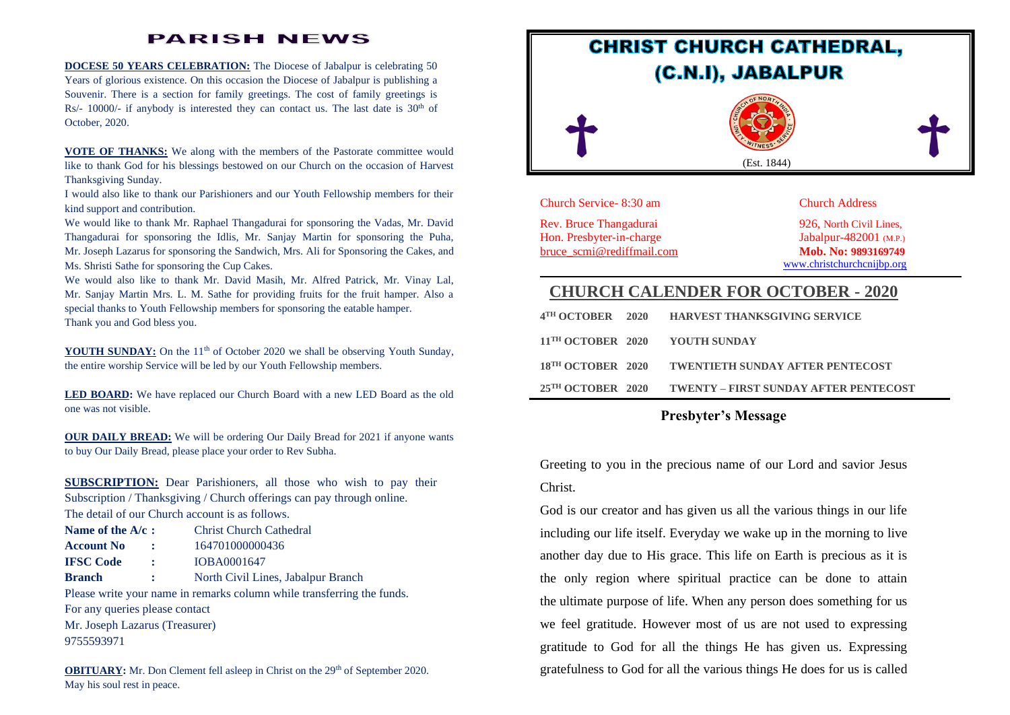### **PARISH NEWS**

**DOCESE 50 YEARS CELEBRATION:** The Diocese of Jabalpur is celebrating 50 Years of glorious existence. On this occasion the Diocese of Jabalpur is publishing a Souvenir. There is a section for family greetings. The cost of family greetings is Rs/-  $10000/$ - if anybody is interested they can contact us. The last date is  $30<sup>th</sup>$  of October, 2020.

**VOTE OF THANKS:** We along with the members of the Pastorate committee would like to thank God for his blessings bestowed on our Church on the occasion of Harvest Thanksgiving Sunday.

I would also like to thank our Parishioners and our Youth Fellowship members for their kind support and contribution.

We would like to thank Mr. Raphael Thangadurai for sponsoring the Vadas, Mr. David Thangadurai for sponsoring the Idlis, Mr. Sanjay Martin for sponsoring the Puha, Mr. Joseph Lazarus for sponsoring the Sandwich, Mrs. Ali for Sponsoring the Cakes, and Ms. Shristi Sathe for sponsoring the Cup Cakes.

We would also like to thank Mr. David Masih, Mr. Alfred Patrick, Mr. Vinay Lal, Mr. Sanjay Martin Mrs. L. M. Sathe for providing fruits for the fruit hamper. Also a special thanks to Youth Fellowship members for sponsoring the eatable hamper. Thank you and God bless you.

**YOUTH SUNDAY:** On the 11<sup>th</sup> of October 2020 we shall be observing Youth Sunday, the entire worship Service will be led by our Youth Fellowship members.

**LED BOARD:** We have replaced our Church Board with a new LED Board as the old one was not visible.

**OUR DAILY BREAD:** We will be ordering Our Daily Bread for 2021 if anyone wants to buy Our Daily Bread, please place your order to Rev Subha.

**SUBSCRIPTION:** Dear Parishioners, all those who wish to pay their Subscription / Thanksgiving / Church offerings can pay through online. The detail of our Church account is as follows.

| Name of the A/c:                                                       |              | <b>Christ Church Cathedral</b>     |  |  |
|------------------------------------------------------------------------|--------------|------------------------------------|--|--|
| <b>Account No</b>                                                      | ÷            | 164701000000436                    |  |  |
| <b>IFSC Code</b>                                                       | ÷            | IOBA0001647                        |  |  |
| <b>Branch</b>                                                          | $\mathbf{1}$ | North Civil Lines, Jabalpur Branch |  |  |
| Please write your name in remarks column while transferring the funds. |              |                                    |  |  |
| For any queries please contact                                         |              |                                    |  |  |
| Mr. Joseph Lazarus (Treasurer)                                         |              |                                    |  |  |
| 9755593971                                                             |              |                                    |  |  |
|                                                                        |              |                                    |  |  |

**OBITUARY:** Mr. Don Clement fell asleep in Christ on the 29<sup>th</sup> of September 2020. May his soul rest in peace.



Church Service- 8:30 am Church Address

Rev. Bruce Thangadurai 926, North Civil Lines, Hon. Presbyter-in-charge Jabalpur-482001 (M.P.) [bruce\\_scmi@rediffmail.com](mailto:bruce_scmi@rediffmail.com) **Mob. No: 9893169749**

[www.christchurchcnijbp.org](http://www.christchurchcnijbp.org/)

### **CHURCH CALENDER FOR OCTOBER - 2020**

|                              | 25 <sup>TH</sup> OCTOBER 2020 TWENTY – FIRST SUNDAY AFTER PENTECOST |
|------------------------------|---------------------------------------------------------------------|
|                              | 18 <sup>TH</sup> OCTOBER 2020 TWENTIETH SUNDAY AFTER PENTECOST      |
|                              | 11 <sup>TH</sup> OCTOBER 2020 YOUTH SUNDAY                          |
| 4 <sup>TH</sup> OCTOBER 2020 | <b>HARVEST THANKSGIVING SERVICE</b>                                 |

### **Presbyter's Message**

Greeting to you in the precious name of our Lord and savior Jesus Christ.

God is our creator and has given us all the various things in our life including our life itself. Everyday we wake up in the morning to live another day due to His grace. This life on Earth is precious as it is the only region where spiritual practice can be done to attain the ultimate [purpose of life.](https://www.spiritualresearchfoundation.org/spiritualresearch/spiritualscience/purposeoflife) When any person does something for us we feel gratitude. However most of us are not used to expressing gratitude to God for all the things He has given us. Expressing gratefulness to God for all the various things He does for us is called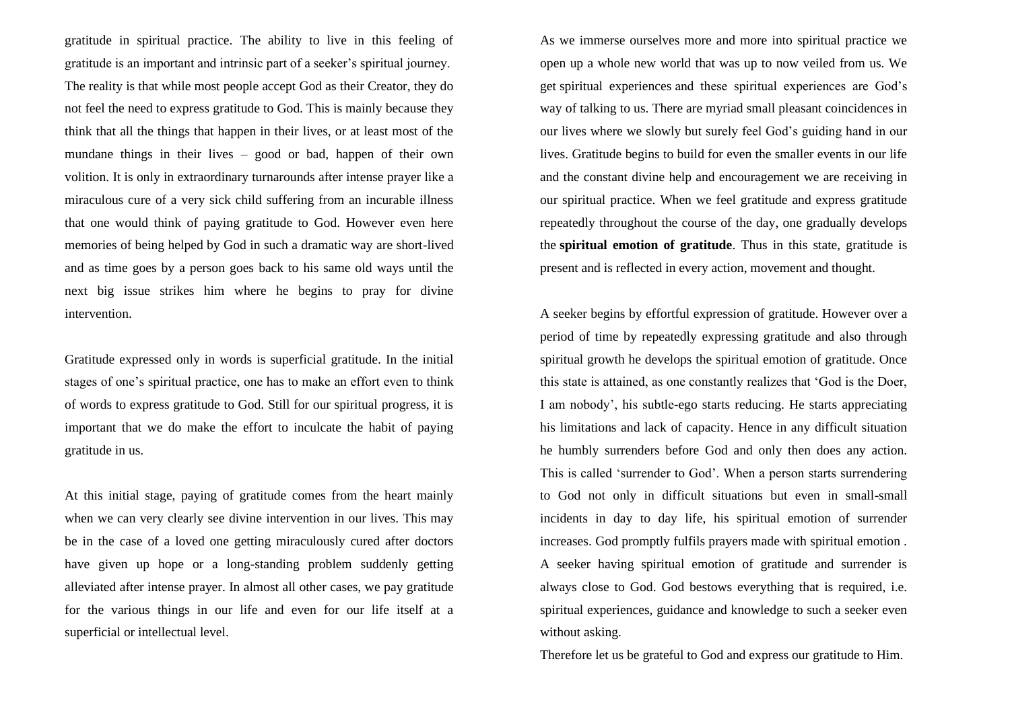gratitude in spiritual practice. The ability to live in this feeling of gratitude is an important and intrinsic part of a seeker's spiritual journey. The reality is that while most people accept God as their Creator, they do not feel the need to express gratitude to God. This is mainly because they think that all the things that happen in their lives, or at least most of the mundane things in their lives – good or bad, happen of their own volition. It is only in extraordinary turnarounds after intense prayer like a miraculous cure of a very sick child suffering from an incurable illness that one would think of paying gratitude to God. However even here memories of being helped by God in such a dramatic way are short-lived and as time goes by a person goes back to his same old ways until the next big issue strikes him where he begins to pray for divine intervention.

Gratitude expressed only in words is superficial gratitude. In the initial stages of one's spiritual practice, one has to make an effort even to think of words to express gratitude to God. Still for our spiritual progress, it is important that we do make the effort to inculcate the habit of paying gratitude in us.

At this initial stage, paying of gratitude comes from the heart mainly when we can very clearly see divine intervention in our lives. This may be in the case of a loved one getting miraculously cured after doctors have given up hope or a long-standing problem suddenly getting alleviated after intense prayer. In almost all other cases, we pay gratitude for the various things in our life and even for our life itself at a superficial or intellectual level.

As we immerse ourselves more and more into spiritual practice we open up a whole new world that was up to now veiled from us. We get [spiritual experiences](https://www.spiritualresearchfoundation.org/miscellaneous/spiritualexperiences) and these spiritual experiences are God's way of talking to us. There are myriad small pleasant coincidences in our lives where we slowly but surely feel God's guiding hand in our lives. Gratitude begins to build for even the smaller events in our life and the constant divine help and encouragement we are receiving in our spiritual practice. When we feel gratitude and express gratitude repeatedly throughout the course of the day, one gradually develops the **spiritual emotion of gratitude**. Thus in this state, gratitude is present and is reflected in every action, movement and thought.

A seeker begins by effortful expression of gratitude. However over a period of time by repeatedly expressing gratitude and also through spiritual growth he develops the spiritual emotion of gratitude. Once this state is attained, as one constantly realizes that 'God is the Doer, I am nobody', his subtle-ego starts reducing. He starts appreciating his limitations and lack of capacity. Hence in any difficult situation he humbly surrenders before God and only then does any action. This is called 'surrender to God'. When a person starts surrendering to God not only in difficult situations but even in small-small incidents in day to day life, his spiritual emotion of surrender increases. God promptly fulfils prayers made with spiritual emotion . A seeker having spiritual emotion of gratitude and surrender is always close to God. God bestows everything that is required, i.e. spiritual experiences, guidance and knowledge to such a seeker even without asking.

Therefore let us be grateful to God and express our gratitude to Him.